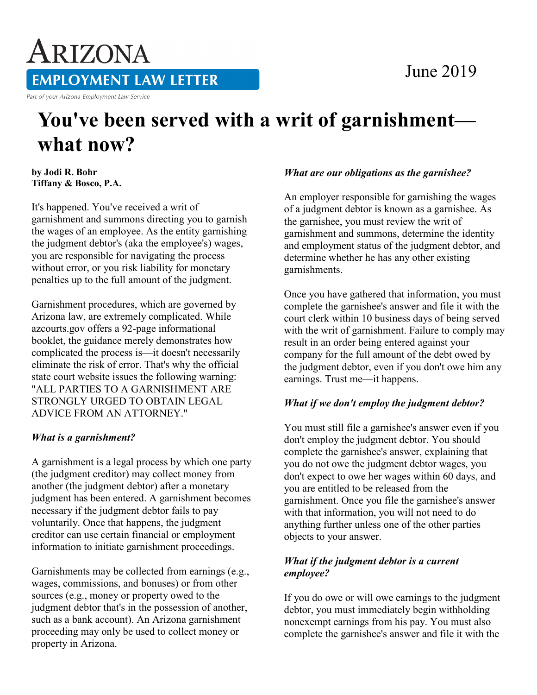# June 2019

ARIZONA **EMPLOYMENT LAW LETTER** Part of your Arizona Employment Law Service

# **You've been served with a writ of garnishment what now?**

**by Jodi R. Bohr Tiffany & Bosco, P.A.** 

It's happened. You've received a writ of garnishment and summons directing you to garnish the wages of an employee. As the entity garnishing the judgment debtor's (aka the employee's) wages, you are responsible for navigating the process without error, or you risk liability for monetary penalties up to the full amount of the judgment.

Garnishment procedures, which are governed by Arizona law, are extremely complicated. While azcourts.gov offers a 92-page informational booklet, the guidance merely demonstrates how complicated the process is—it doesn't necessarily eliminate the risk of error. That's why the official state court website issues the following warning: "ALL PARTIES TO A GARNISHMENT ARE STRONGLY URGED TO OBTAIN LEGAL ADVICE FROM AN ATTORNEY."

## *What is a garnishment?*

A garnishment is a legal process by which one party (the judgment creditor) may collect money from another (the judgment debtor) after a monetary judgment has been entered. A garnishment becomes necessary if the judgment debtor fails to pay voluntarily. Once that happens, the judgment creditor can use certain financial or employment information to initiate garnishment proceedings.

Garnishments may be collected from earnings (e.g., wages, commissions, and bonuses) or from other sources (e.g., money or property owed to the judgment debtor that's in the possession of another, such as a bank account). An Arizona garnishment proceeding may only be used to collect money or property in Arizona.

#### *What are our obligations as the garnishee?*

An employer responsible for garnishing the wages of a judgment debtor is known as a garnishee. As the garnishee, you must review the writ of garnishment and summons, determine the identity and employment status of the judgment debtor, and determine whether he has any other existing garnishments.

Once you have gathered that information, you must complete the garnishee's answer and file it with the court clerk within 10 business days of being served with the writ of garnishment. Failure to comply may result in an order being entered against your company for the full amount of the debt owed by the judgment debtor, even if you don't owe him any earnings. Trust me—it happens.

## *What if we don't employ the judgment debtor?*

You must still file a garnishee's answer even if you don't employ the judgment debtor. You should complete the garnishee's answer, explaining that you do not owe the judgment debtor wages, you don't expect to owe her wages within 60 days, and you are entitled to be released from the garnishment. Once you file the garnishee's answer with that information, you will not need to do anything further unless one of the other parties objects to your answer.

#### *What if the judgment debtor is a current employee?*

If you do owe or will owe earnings to the judgment debtor, you must immediately begin withholding nonexempt earnings from his pay. You must also complete the garnishee's answer and file it with the